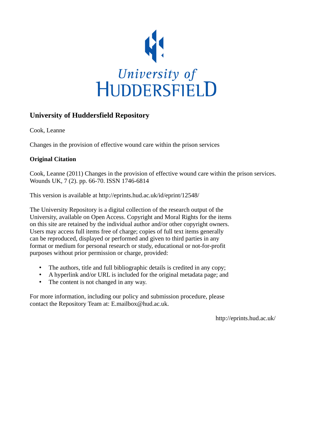

# **University of Huddersfield Repository**

Cook, Leanne

Changes in the provision of effective wound care within the prison services

# **Original Citation**

Cook, Leanne (2011) Changes in the provision of effective wound care within the prison services. Wounds UK, 7 (2). pp. 66-70. ISSN 1746-6814

This version is available at http://eprints.hud.ac.uk/id/eprint/12548/

The University Repository is a digital collection of the research output of the University, available on Open Access. Copyright and Moral Rights for the items on this site are retained by the individual author and/or other copyright owners. Users may access full items free of charge; copies of full text items generally can be reproduced, displayed or performed and given to third parties in any format or medium for personal research or study, educational or not-for-profit purposes without prior permission or charge, provided:

- The authors, title and full bibliographic details is credited in any copy;
- A hyperlink and/or URL is included for the original metadata page; and
- The content is not changed in any way.

For more information, including our policy and submission procedure, please contact the Repository Team at: E.mailbox@hud.ac.uk.

http://eprints.hud.ac.uk/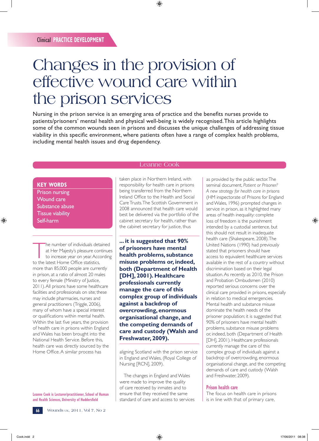# Changes in the provision of effective wound care within the prison services

Nursing in the prison service is an emerging area of practice and the benefits nurses provide to patients/prisoners' mental health and physical well-being is widely recognised. This article highlights some of the common wounds seen in prisons and discusses the unique challenges of addressing tissue viability in this specific environment, where patients often have a range of complex health problems, including mental health issues and drug dependency.

## **KEY WORDS**

Prison nursing Wound care Substance abuse Tissue viability Self-harm

The number of individuals detained<br>
at Her Majesty's pleasure continues<br>
to increase year on year. According<br>
to the latest Home Office statistics at Her Majesty's pleasure continues to the latest Home Office statistics, more than 85,000 people are currently in prison, at a ratio of almost 20 males to every female (Ministry of Justice, 2011). All prisons have some healthcare facilities and professionals on site; these may include pharmacies, nurses and general practitioners (Triggle, 2006), many of whom have a special interest or qualifications within mental health. Within the last five years, the provision of health care in prisons within England and Wales has been brought into the National Health Service. Before this, health care was directly sourced by the Home Office. A similar process has

**Leanne Cook is Lecturer/practitioner, School of Human and Health Sciences, University of Huddersfield**

Leanne Cook

taken place in Northern Ireland, with responsibility for health care in prisons being transferred from the Northern Ireland Office to the Health and Social Care Trusts. The Scottish Government in 2008 announced that health care would best be delivered via the portfolio of the cabinet secretary for health, rather than the cabinet secretary for justice, thus

**... it is suggested that 90% of prisoners have mental health problems, substance misuse problems or, indeed, both (Department of Health [DH], 2001). Healthcare professionals currently manage the care of this complex group of individuals against a backdrop of overcrowding, enormous organisational change, and the competing demands of care and custody (Walsh and Freshwater, 2009).**

aligning Scotland with the prison service in England and Wales, (Royal College of Nursing [RCN], 2009).

The changes in England and Wales were made to improve the quality of care received by inmates and to ensure that they received the same standard of care and access to services as provided by the public sector. The seminal document, *Patient or Prisoner? A new strategy for health care in prisons* (HM inspectorate of Prisons for England and Wales, 1996) prompted changes in service in prison, as it highlighted many areas of health inequality: complete loss of freedom is the punishment intended by a custodial sentence, but this should not result in inadequate health care (Shakespeare, 2008). The United Nations (1990) had previously stated that prisoners should have access to equivalent healthcare services available in the rest of a country without discrimination based on their legal situation. As recently as 2010, the Prison and Probation Ombudsmen (2010) reported serious concerns over the clinical care provided in prisons, especially in relation to medical emergencies. Mental health and substance misuse dominate the health needs of the prisoner population; it is suggested that 90% of prisoners have mental health problems, substance misuse problems or, indeed, both (Department of Health [DH], 2001). Healthcare professionals currently manage the care of this complex group of individuals against a backdrop of overcrowding, enormous organisational change, and the competing demands of care and custody (Walsh and Freshwater, 2009).

## **Prison health care**

The focus on health care in prisons is in line with that of primary care,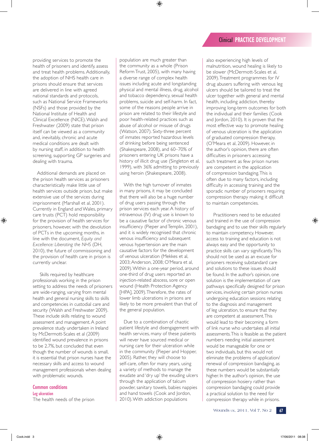providing services to promote the health of prisoners and identify, assess and treat health problems. Additionally, the adoption of NHS health care in prisons should ensure that services are delivered in line with agreed national standards and protocols, such as National Service Frameworks (NSFs) and those provided by the National Institute of Health and Clinical Excellence (NICE). Walsh and Freshwater (2009) state that prison itself can be viewed as a community and, inevitably, chronic and acute medical conditions are dealt with by nursing staff, in addition to health screening, supporting GP surgeries and dealing with trauma.

Additional demands are placed on the prison health services as prisoners characteristically make little use of health services outside prison, but make extensive use of the services during imprisonment (Marshall et al, 2001). Currently in England and Wales, primary care trusts (PCT) hold responsibility for the provision of health services for prisoners, however, with the devolution of PCTs in the upcoming months, in line with the document, *Equity and Excellence: Liberating the NHS* (DH, 2010), the future of commissioning and the provision of health care in prison is currently unclear.

Skills required by healthcare professionals working in the prison setting to address the needs of prisoners are wide-ranging, varying from mental health and general nursing skills to skills and competencies in custodial care and security (Walsh and Freshwater 2009). These include skills relating to wound assessment and management. A point prevalence study undertaken in Ireland by McDermott-Scales et al (2009) identified wound prevalence in prisons to be 2.7%, but concluded that even though the number of wounds is small, it is essential that prison nurses have the necessary skills and access to wound management professionals when dealing with problematic wounds.

**Common conditions Leg ulceration** The health needs of the prison population are much greater than the community as a whole (Prison Reform Trust, 2005), with many having a diverse range of complex health issues including acute and longstanding physical and mental illness, drug, alcohol and tobacco dependency, sexual health problems, suicide and self-harm. In fact, some of the reasons people arrive in prison are related to their lifestyle and poor health-related practices such as abuse of alcohol or misuse of drugs (Watson, 2007). Sixty-three percent of inmates reported hazardous levels of drinking before being sentenced (Shakespeare, 2008), and 60–70% of prisoners entering UK prisons have a history of illicit drug use (Singleton et al, 1999), with 36% admitting to previously using heroin (Shakespeare, 2008).

With the high turnover of inmates in many prisons, it may be concluded that there will also be a huge number of drug users passing through the prison services each year. A history of intravenous (IV) drug use is known to be a causative factor of chronic venous insufficiency (Pieper and Templin, 2001), and it is widely recognised that chronic venous insufficiency and subsequent venous hypertension are the main causative factors for the development of venous ulceration (Mekkes et al, 2003; Anderson, 2008; O'Meara et al, 2009). Within a one-year period, around one-third of drug users reported an injection-related abscess, sore or open wound (Health Protection Agency [HPA], 2009). Therefore, the rates of lower limb ulcerations in prisons are likely to be more prevalent than that of the general population.

Due to a combination of chaotic patient lifestyle and disengagement with health services, many of these patients will never have sourced medical or nursing care for their ulceration while in the community (Pieper and Hopper, 2005). Rather, they will choose to self-care, often for many years, using a variety of methods to manage the exudate and 'dry up' the exuding ulcers through the application of talcum powder, sanitary towels, babies nappies and hand towels (Cook and Jordon, 2010). With addiction populations

also experiencing high levels of malnutrition, wound healing is likely to be slower (McDermott-Scales et al, 2009). Treatment programmes for IV drug abusers suffering with venous leg ulcers should be tailored to treat the ulcer together with general and mental health, including addiction, thereby improving long-term outcomes for both the individual and their families (Cook and Jordon, 2010). It is proven that the most effective way to promote healing of venous ulceration is the application of graduated compression therapy, (O'Meara et al, 2009). However, in the author's opinion, there are often difficulties in prisoners accessing such treatment as few prison nurses are competent in the application of compression bandaging. This is often due to many factors, including difficulty in accessing training and the sporadic number of prisoners requiring compression therapy making it difficult to maintain competencies.

Practitioners need to be educated and trained in the use of compression bandaging and to use their skills regularly to maintain competency. However, access to training and education is not always easy and the opportunity to practice skills can vary significantly. This should not be used as an excuse for prisoners receiving substandard care and solutions to these issues should be found. In the author's opinion, one solution is the implementation of care pathways specifically designed for prison services, involving certain prison nurses undergoing education sessions relating to the diagnosis and management of leg ulceration, to ensure that they are competent at assessment. This would lead to their becoming a form of link nurse who undertakes all initial assessments. This is feasible as the patient numbers needing initial assessment would be manageable for one or two individuals, but this would not eliminate the problems of application/ renewal of compression bandaging, as these numbers would be substantially higher. In the author's opinion, the use of compression hosiery rather than compression bandaging could provide a practical solution to the need for compression therapy while in prisons.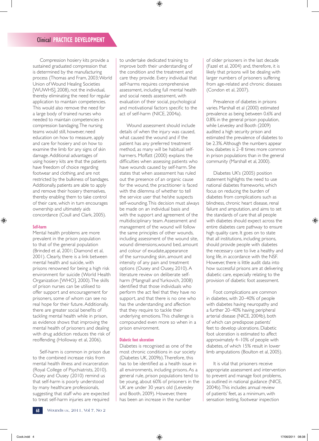Compression hosiery kits provide a sustained graduated compression that is determined by the manufacturing process (Thomas and Fram, 2003; World Union of Wound Healing Societies [WUWHS], 2008), not the individual, thereby eliminating the need for regular application to maintain competencies. This would also remove the need for a large body of trained nurses who needed to maintain competencies in compression bandaging. The nursing teams would still, however, need education on how to measure, apply and care for hosiery and on how to examine the limb for any signs of skin damage. Additional advantages of using hosiery kits are that the patients have freedom of choice regarding footwear and clothing, and are not restricted by the bulkiness of bandages. Additionally, patients are able to apply and remove their hosiery themselves, thereby enabling them to take control of their care, which in turn encourages ownership and ultimately aids concordance (Coull and Clark, 2005).

## **Self-harm**

Mental health problems are more prevalent in the prison population to that of the general population (Brinded et al, 2001; Diamond et al, 2001). Clearly, there is a link between mental health and suicide, with prisons renowned for being a high risk environment for suicide (World Health Organization [WHO], 2000). The skills of prison nurses can be utilised to offer support and encouragement for prisoners, some of whom can see no real hope for their future. Additionally, there are greater social benefits of tackling mental health while in prison, as evidence shows that improving the mental health of prisoners and dealing with drug addiction reduces the risk of reoffending (Holloway et al, 2006).

Self-harm is common in prison due to the combined increase risks from mental health illness and incarceration (Royal College of Psychiatrists, 2010). Ousey and Ousey (2010) remind us that self-harm is poorly understood by many healthcare professionals, suggesting that staff who are expected to treat self-harm injuries are required

to undertake dedicated training to improve both their understanding of the condition and the treatment and care they provide. Every individual that self-harms requires comprehensive assessment, including full mental health and social needs assessment, with evaluation of their social, psychological and motivational factors specific to the act of self-harm (NICE, 2004a).

Wound assessment should include details of when the injury was caused, what caused the wound and if the patient has any preferred treatment method, as many will be habitual selfharmers. Moffatt (2000) explains the difficulties when assessing patients who have wounds caused by self-harm. She states that when assessment has ruled out the presence of an organic cause for the wound, the practitioner is faced with the dilemma of whether to tell the service user that he/she suspects self-wounding. This decision must always be made on an individual basis and with the support and agreement of the multidisciplinary team. Assessment and management of the wound will follow the same principles of other wounds, including assessment of the wound site, wound dimensions,wound bed, amount and colour of exudate,appearance of the surrounding skin, amount and intensity of any pain and treatment options (Ousey and Ousey, 2010). A literature review on deliberate selfharm (Mangnall and Yurkovich, 2008) identified that those individuals who perform the act feel that they have no support, and that there is no one who has the understanding and affection that they require to tackle their underlying emotions. This challenge is compounded even more so when in a prison environment.

#### **Diabetic foot ulceration**

Diabetes is recognised as one of the most chronic conditions in our society (Diabetes UK, 2009b). Therefore, this has to be identified as a health issue in all environments, including prisons. As a general rule, prison populations tend to be young, about 60% of prisoners in the UK are under 30 years old (Leivesley and Booth, 2009). However, there has been an increase in the number

of older prisoners in the last decade (Fazel et al, 2004) and, therefore, it is likely that prisons will be dealing with larger numbers of prisoners suffering from age-related and chronic diseases (Condon et al, 2007).

Prevalence of diabetes in prisons varies. Marshall et al (2000) estimated prevalence as being between 0.6% and 0.8% in the general prison population, while Leivesley and Booth (2009) audited a high security prison and estimated the prevalence of diabetes to be 2.3%. Although the numbers appear low, diabetes is 2–8 times more common in prison populations than in the general community (Marshall et al, 2000).

Diabetes UK's (2005) position statement highlights the need to use national diabetes frameworks, which focus on reducing the burden of diabetes from complications such as blindness, chronic heart disease, renal failure and amputation, and aims to set the standards of care that all people with diabetes should expect across the entire diabetes care pathway to ensure high quality care. It goes on to state that all institutions, including prisons, should provide people with diabetes the necessary care to live a healthy and long life, in accordance with the NSF. However, there is little audit data into how successful prisons are at delivering diabetic care, especially relating to the provision of diabetic foot assessment.

Foot complications are common in diabetes, with 20–40% of people with diabetes having neuropathy and a further 20–40% having peripheral arterial disease (NICE, 2004b), both of which can predispose patients' feet to develop ulcerations. Diabetic foot ulceration is estimated to affect approximately 4–10% of people with diabetes, of which 15% result in lower limb amputations (Boulton et al, 2005).

It is vital that prisoners receive appropriate assessment and intervention to prevent and manage foot problems, as outlined in national guidance (NICE, 2004b). This includes annual review of patients' feet, as a minimum, with sensation testing, footwear inspection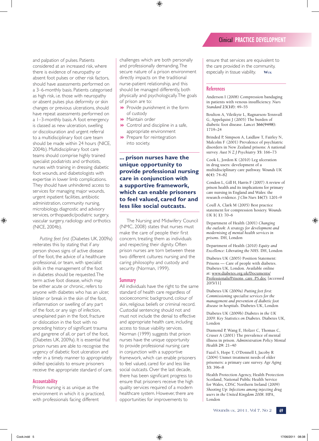and palpation of pulses. Patients considered at an increased risk, where there is evidence of neuropathy or absent foot pulses or other risk factors, should have assessments performed on a 3–6-monthly basis. Patients categorised as high risk, i.e. those with neuropathy or absent pulses plus deformity or skin changes or previous ulcerations, should have repeat assessments performed on a 1–3-monthly basis. A foot emergency is classed as new ulceration, swelling or discolouration and urgent referral to a multidisciplinary foot care team should be made within 24 hours (NICE, 2004b). Multidisciplinary foot care teams should comprise highly trained specialist podiatrists and orthotists, nurses with training in dressing diabetic foot wounds, and diabetologists with expertise in lower limb complications. They should have unhindered access to services for managing major wounds, urgent inpatient facilities, antibiotic administration, community nursing, microbiology, diagnostic and advisory services, orthopaedic/podiatric surgery, vascular surgery, radiology and orthotics (NICE, 2004b).

*Putting feet first* (Diabetes UK, 2009a) reiterates this by stating that if any person shows signs of active disease of the foot, the advice of a healthcare professional, or team, with specialist skills in the management of the foot in diabetes should be requested. The term active foot disease, which may be either acute or chronic, refers to anyone with diabetes who has an ulcer, blister or break in the skin of the foot, inflammation or swelling of any part of the foot, or any sign of infection, unexplained pain in the foot, fracture or dislocation in the foot with no preceding history of significant trauma and gangrene of all, or part of the foot, (Diabetes UK, 2009a). It is essential that prison nurses are able to recognise the urgency of diabetic foot ulceration and refer in a timely manner to appropriately skilled specialists to ensure prisoners receive the appropriate standard of care.

## **Accountability**

Prison nursing is as unique as the environment in which it is practiced, with professionals facing different

challenges which are both personally and professionally demanding. The secure nature of a prison environment directly impacts on the traditional nurse-patient relationship, and this should be managed differently, both physically and psychologically. The goals of prison are to:

- $\blacktriangleright$  Provide punishment in the form of custody
- **>** Maintain order
- $\rightarrow$  Control and discipline in a safe, appropriate environment
- $\blacktriangleright$  Prepare for reintegration into society.

# **... prison nurses have the unique opportunity to provide professional nursing care in conjunction with a supportive framework, which can enable prisoners to feel valued, cared for and less like social outcasts.**

The Nursing and Midwifery Council (NMC, 2008) states that nurses must make the care of people their first concern, treating them as individuals and respecting their dignity. Often prison nurses are torn between these two different cultures: nursing and the caring philosophy and custody and security (Norman, 1999).

## **Summary**

All individuals have the right to the same standard of health care regardless of socioeconomic background, colour of skin, religious beliefs or criminal record. Custodial sentencing should not and must not include the denial to effective and appropriate health care, including access to tissue viability services. Norman (1999) suggests that prison nurses have the unique opportunity to provide professional nursing care in conjunction with a supportive framework, which can enable prisoners to feel valued, cared for and less like social outcasts. Over the last decade, there has been significant progress to ensure that prisoners receive the high quality services required of a modern healthcare system. However, there are opportunities for improvements to

ensure that services are equivalent to the care provided in the community, especially in tissue viability. **Wuk**

#### **References**

Anderson I (2008) Compression bandaging in patients with venous insufficiency. *Nurs Standard* **23(10):** 49–55

Boulton A, Vileikyte L, Ragnarson-Tennvall G, Appelquist J (2005) The burden of diabetic foot disease. *Lancet* **366(9498):**  1719–24

Brinded P, Simpson A, Laidlaw T, Fairley N, Malcolm F (2001) Prevalence of psychiatric disorders in New Zealand prisons: A national survey. *Aust N Z J Psychiatry* **35:** 166–73

Cook L, Jordon K (2010) Leg ulceration in drug users: development of a multidisciplinary care pathway. *Wounds UK*  **6(4):** 74–82

Condon L, Gill H, Harris F (2007) A review of prison health and its implications for primary care nursing in England and Wales: the research evidence. *J Clin Nurs* **16(7):** 1201–9

Coull A, Clark M (2005) Best practice statement for compression hosiery. *Wounds UK* **1( 1):** 70–6

Department of Health (2001) *Changing the outlook: A strategy for development and modernising of mental health services in prisons*. DH, London

Department of Health (2010) *Equity and Excellence: Liberating the NHS*. DH, London

Diabetes UK (2005) Position Statement: Prisons — Care of people with diabetes. Diabetes UK, London. Available online at: www.diabetes.org.uk/Documents/ Professionals/Prisons\_care\_PS.doc [accessed 20/5/11]

Diabetes UK (2009a) *Putting feet first: Commissioning specialist services for the management and prevention of diabetic foot disease in hospitals*. Diabetes UK, London

Diabetes UK (2009b) *Diabetes in the UK 2009: Key Statistics on Diabetes*. Diabetes UK, London

Diamond P, Wang E, Holzer C, Thomas C, Cruser A (2001) The prevalence of mental illness in prison. *Administration Policy Mental Health* **29:** 21–40

Fazel S, Hope T, O'Donnell I, Jacoby R (2004) Unmet treatment needs of older prisoners: a primary care survey. *Age Aging* **33:** 396–8

Health Protection Agency, Health Protection Scotland, National Public Health Service for Wales, CDSC Northern Ireland (2009) *Shooting Up: Infections among injecting drug users in the United Kingdom 2008*. HPA, London